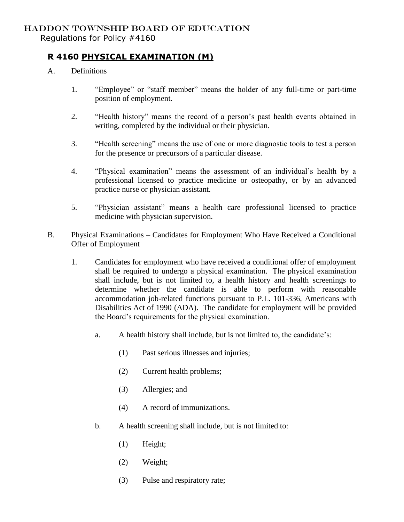## HADDON TOWNSHIP BOARD OF EDUCATION Regulations for Policy #4160

## **R 4160 PHYSICAL EXAMINATION (M)**

- A. Definitions
	- 1. "Employee" or "staff member" means the holder of any full-time or part-time position of employment.
	- 2. "Health history" means the record of a person's past health events obtained in writing, completed by the individual or their physician.
	- 3. "Health screening" means the use of one or more diagnostic tools to test a person for the presence or precursors of a particular disease.
	- 4. "Physical examination" means the assessment of an individual's health by a professional licensed to practice medicine or osteopathy, or by an advanced practice nurse or physician assistant.
	- 5. "Physician assistant" means a health care professional licensed to practice medicine with physician supervision.
- B. Physical Examinations Candidates for Employment Who Have Received a Conditional Offer of Employment
	- 1. Candidates for employment who have received a conditional offer of employment shall be required to undergo a physical examination. The physical examination shall include, but is not limited to, a health history and health screenings to determine whether the candidate is able to perform with reasonable accommodation job-related functions pursuant to P.L. 101-336, Americans with Disabilities Act of 1990 (ADA). The candidate for employment will be provided the Board's requirements for the physical examination.
		- a. A health history shall include, but is not limited to, the candidate's:
			- (1) Past serious illnesses and injuries;
			- (2) Current health problems;
			- (3) Allergies; and
			- (4) A record of immunizations.
		- b. A health screening shall include, but is not limited to:
			- (1) Height;
			- (2) Weight;
			- (3) Pulse and respiratory rate;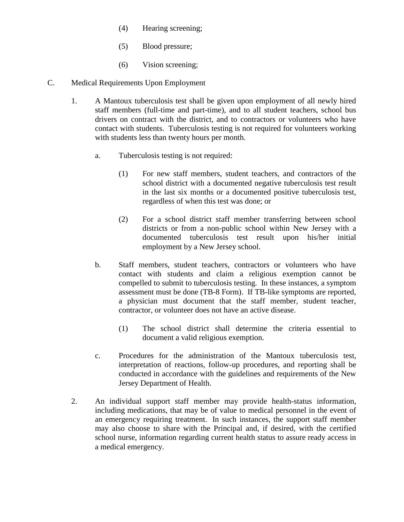- (4) Hearing screening;
- (5) Blood pressure;
- (6) Vision screening;
- C. Medical Requirements Upon Employment
	- 1. A Mantoux tuberculosis test shall be given upon employment of all newly hired staff members (full-time and part-time), and to all student teachers, school bus drivers on contract with the district, and to contractors or volunteers who have contact with students. Tuberculosis testing is not required for volunteers working with students less than twenty hours per month.
		- a. Tuberculosis testing is not required:
			- (1) For new staff members, student teachers, and contractors of the school district with a documented negative tuberculosis test result in the last six months or a documented positive tuberculosis test, regardless of when this test was done; or
			- (2) For a school district staff member transferring between school districts or from a non-public school within New Jersey with a documented tuberculosis test result upon his/her initial employment by a New Jersey school.
		- b. Staff members, student teachers, contractors or volunteers who have contact with students and claim a religious exemption cannot be compelled to submit to tuberculosis testing. In these instances, a symptom assessment must be done (TB-8 Form). If TB-like symptoms are reported, a physician must document that the staff member, student teacher, contractor, or volunteer does not have an active disease.
			- (1) The school district shall determine the criteria essential to document a valid religious exemption.
		- c. Procedures for the administration of the Mantoux tuberculosis test, interpretation of reactions, follow-up procedures, and reporting shall be conducted in accordance with the guidelines and requirements of the New Jersey Department of Health.
	- 2. An individual support staff member may provide health-status information, including medications, that may be of value to medical personnel in the event of an emergency requiring treatment. In such instances, the support staff member may also choose to share with the Principal and, if desired, with the certified school nurse, information regarding current health status to assure ready access in a medical emergency.